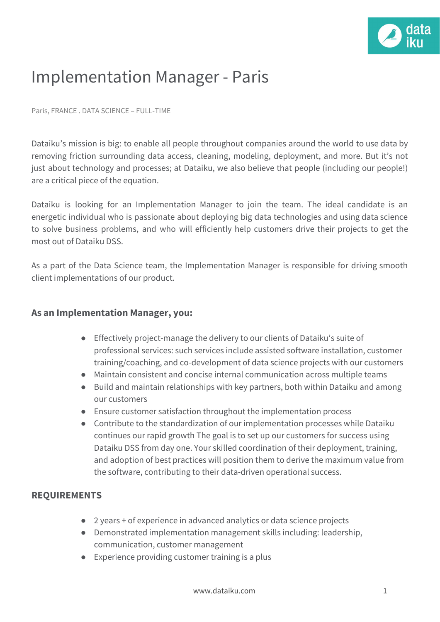

## Implementation Manager - Paris

Paris, FRANCE . DATA SCIENCE – FULL-TIME

Dataiku's mission is big: to enable all people throughout companies around the world to use data by removing friction surrounding data access, cleaning, modeling, deployment, and more. But it's not just about technology and processes; at Dataiku, we also believe that people (including our people!) are a critical piece of the equation.

Dataiku is looking for an Implementation Manager to join the team. The ideal candidate is an energetic individual who is passionate about deploying big data technologies and using data science to solve business problems, and who will efficiently help customers drive their projects to get the most out of Dataiku DSS.

As a part of the Data Science team, the Implementation Manager is responsible for driving smooth client implementations of our product.

## **As an Implementation Manager, you:**

- Effectively project-manage the delivery to our clients of Dataiku's suite of professional services: such services include assisted software installation, customer training/coaching, and co-development of data science projects with our customers
- Maintain consistent and concise internal communication across multiple teams
- Build and maintain relationships with key partners, both within Dataiku and among our customers
- Ensure customer satisfaction throughout the implementation process
- Contribute to the standardization of our implementation processes while Dataiku continues our rapid growth The goal is to set up our customers for success using Dataiku DSS from day one. Your skilled coordination of their deployment, training, and adoption of best practices will position them to derive the maximum value from the software, contributing to their data-driven operational success.

## **REQUIREMENTS**

- 2 years + of experience in advanced analytics or data science projects
- Demonstrated implementation management skills including: leadership, communication, customer management
- Experience providing customer training is a plus